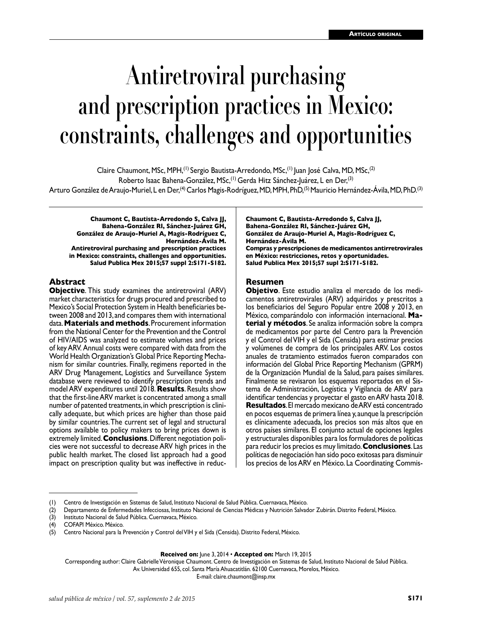# **Antiretroviral purchasing and prescription practices in Mexico: constraints, challenges and opportunities**

Claire Chaumont, MSc, MPH,<sup>(1)</sup> Sergio Bautista-Arredondo, MSc,<sup>(1)</sup> Juan José Calva, MD, MSc,<sup>(2)</sup> Roberto Isaac Bahena-González, MSc,<sup>(1)</sup> Gerda Hitz Sánchez-Juárez, L en Der,<sup>(3)</sup> Arturo González de Araujo-Muriel, L en Der,(4) Carlos Magis-Rodríguez, MD, MPH, PhD,(5) Mauricio Hernández-Ávila, MD, PhD.(3)

**Chaumont C, Bautista-Arredondo S, Calva JJ, Bahena-González RI, Sánchez-Juárez GH, González de Araujo-Muriel A, Magis-Rodríguez C, Hernández-Ávila M. Antiretroviral purchasing and prescription practices in Mexico: constraints, challenges and opportunities. Salud Publica Mex 2015;57 suppl 2:S171-S182.**

#### **Abstract**

**Objective**. This study examines the antiretroviral (ARV) market characteristics for drugs procured and prescribed to Mexico's Social Protection System in Health beneficiaries between 2008 and 2013, and compares them with international data. **Materials and methods**. Procurement information from the National Center for the Prevention and the Control of HIV/AIDS was analyzed to estimate volumes and prices of key ARV. Annual costs were compared with data from the World Health Organization's Global Price Reporting Mechanism for similar countries. Finally, regimens reported in the ARV Drug Management, Logistics and Surveillance System database were reviewed to identify prescription trends and model ARV expenditures until 2018. **Results**. Results show that the first-line ARV market is concentrated among a small number of patented treatments, in which prescription is clini cally adequate, but which prices are higher than those paid by similar countries. The current set of legal and structural options available to policy makers to bring prices down is extremely limited. **Conclusions**. Different negotiation poli cies were not successful to decrease ARV high prices in the public health market. The closed list approach had a good impact on prescription quality but was ineffective in reduc**Chaumont C, Bautista-Arredondo S, Calva JJ, Bahena-González RI, Sánchez-Juárez GH, González de Araujo-Muriel A, Magis-Rodríguez C, Hernández-Ávila M.**

**Compras y prescripciones de medicamentos antirretrovirales en México: restricciones, retos y oportunidades. Salud Publica Mex 2015;57 supl 2:S171-S182.**

#### **Resumen**

**Objetivo**. Este estudio analiza el mercado de los medicamentos antiretrovirales (ARV) adquiridos y prescritos a los beneficiarios del Seguro Popular entre 2008 y 2013, en México, comparándolo con información internacional. **Material y métodos**. Se analiza información sobre la compra de medicamentos por parte del Centro para la Prevención y el Control del VIH y el Sida (Censida) para estimar precios y volúmenes de compra de los principales ARV. Los costos anuales de tratamiento estimados fueron comparados con información del Global Price Reporting Mechanism (GPRM) de la Organización Mundial de la Salud, para países similares. Finalmente se revisaron los esquemas reportados en el Sis tema de Administración, Logística y Vigilancia de ARV para identificar tendencias y proyectar el gasto en ARV hasta 2018. **Resultados**. El mercado mexicano de ARV está concentrado en pocos esquemas de primera línea y, aunque la prescripción es clínicamente adecuada, los precios son más altos que en otros países similares. El conjunto actual de opciones legales y estructurales disponibles para los formuladores de políticas para reducir los precios es muy limitado. **Conclusiones**. Las políticas de negociación han sido poco exitosas para disminuir los precios de los ARV en México. La Coordinating Commis-

**Received on:** June 3, 2014 • **Accepted on:** March 19, 2015

Corresponding author: Claire Gabrielle Véronique Chaumont. Centro de Investigación en Sistemas de Salud, Instituto Nacional de Salud Pública. Av. Universidad 655, col. Santa María Ahuacatitlán. 62100 Cuernavaca, Morelos, México.

E-mail: claire.chaumont@insp.mx

Centro de Investigación en Sistemas de Salud, Instituto Nacional de Salud Pública. Cuernavaca, México.

<sup>(2)</sup> Departamento de Enfermedades Infecciosas, Instituto Nacional de Ciencias Médicas y Nutrición Salvador Zubirán. Distrito Federal, México.

<sup>(3)</sup> Instituto Nacional de Salud Pública. Cuernavaca, México.

<sup>(4)</sup> COFAPI México. México.

Centro Nacional para la Prevención y Control del VIH y el Sida (Censida). Distrito Federal, México.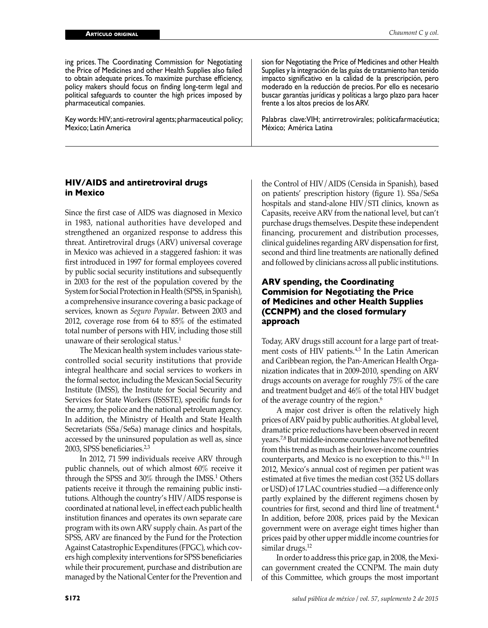ing prices. The Coordinating Commission for Negotiating the Price of Medicines and other Health Supplies also failed to obtain adequate prices. To maximize purchase efficiency, policy makers should focus on finding long-term legal and political safeguards to counter the high prices imposed by pharmaceutical companies.

Key words: HIV; anti-retroviral agents; pharmaceutical policy; Mexico; Latin America

sion for Negotiating the Price of Medicines and other Health Supplies y la integración de las guías de tratamiento han tenido impacto significativo en la calidad de la prescripción, pero moderado en la reducción de precios. Por ello es necesario buscar garantías jurídicas y políticas a largo plazo para hacer frente a los altos precios de los ARV.

Palabras clave:VIH; antirretrovirales; políticafarmacéutica; México; América Latina

#### **HIV/AIDS and antiretroviral drugs in Mexico**

Since the first case of AIDS was diagnosed in Mexico in 1983, national authorities have developed and strengthened an organized response to address this threat. Antiretroviral drugs (ARV) universal coverage in Mexico was achieved in a staggered fashion: it was first introduced in 1997 for formal employees covered by public social security institutions and subsequently in 2003 for the rest of the population covered by the System for Social Protection in Health (SPSS, in Spanish), a comprehensive insurance covering a basic package of services, known as *Seguro Popular*. Between 2003 and 2012, coverage rose from 64 to 85% of the estimated total number of persons with HIV, including those still unaware of their serological status.<sup>1</sup>

The Mexican health system includes various statecontrolled social security institutions that provide integral healthcare and social services to workers in the formal sector, including the Mexican Social Security Institute (IMSS), the Institute for Social Security and Services for State Workers (ISSSTE), specific funds for the army, the police and the national petroleum agency. In addition, the Ministry of Health and State Health Secretariats (SSa/SeSa) manage clinics and hospitals, accessed by the uninsured population as well as, since 2003, SPSS beneficiaries.<sup>2,3</sup>

In 2012, 71 599 individuals receive ARV through public channels, out of which almost 60% receive it through the SPSS and 30% through the IMSS.<sup>1</sup> Others patients receive it through the remaining public institutions. Although the country's HIV/AIDS response is coordinated at national level, in effect each public health institution finances and operates its own separate care program with its own ARV supply chain. As part of the SPSS, ARV are financed by the Fund for the Protection Against Catastrophic Expenditures (FPGC), which covers high complexity interventions for SPSS beneficiaries while their procurement, purchase and distribution are managed by the National Center for the Prevention and

the Control of HIV/AIDS (Censida in Spanish), based on patients' prescription history (figure 1). SSa/SeSa hospitals and stand-alone HIV/STI clinics, known as Capasits, receive ARV from the national level, but can't purchase drugs themselves. Despite these independent financing, procurement and distribution processes, clinical guidelines regarding ARV dispensation for first, second and third line treatments are nationally defined and followed by clinicians across all public institutions.

# **ARV spending, the Coordinating Commision for Negotiating the Price of Medicines and other Health Supplies (CCNPM) and the closed formulary approach**

Today, ARV drugs still account for a large part of treatment costs of HIV patients.4,5 In the Latin American and Caribbean region, the Pan-American Health Organization indicates that in 2009-2010, spending on ARV drugs accounts on average for roughly 75% of the care and treatment budget and 46% of the total HIV budget of the average country of the region.<sup>6</sup>

A major cost driver is often the relatively high prices of ARV paid by public authorities. At global level, dramatic price reductions have been observed in recent years.7,8 But middle-income countries have not benefited from this trend as much as their lower-income countries counterparts, and Mexico is no exception to this.<sup>9-11</sup> In 2012, Mexico's annual cost of regimen per patient was estimated at five times the median cost (352 US dollars or USD) of 17 LAC countries studied —a difference only partly explained by the different regimens chosen by countries for first, second and third line of treatment.4 In addition, before 2008, prices paid by the Mexican government were on average eight times higher than prices paid by other upper middle income countries for similar drugs.<sup>12</sup>

In order to address this price gap, in 2008, the Mexican government created the CCNPM. The main duty of this Committee, which groups the most important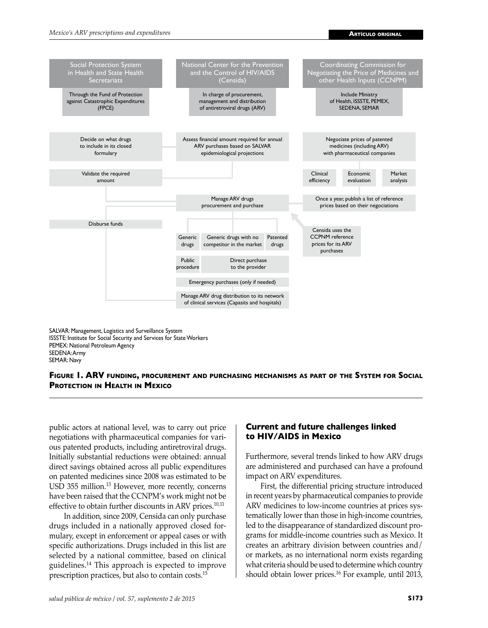

SALVAR: Management, Logistics and Surveillance System ISSSTE: Institute for Social Security and Services for State Workers PEMEX: National Petroleum Agency SEDENA: Army SEMAR: Navy



public actors at national level, was to carry out price negotiations with pharmaceutical companies for various patented products, including antiretroviral drugs. Initially substantial reductions were obtained: annual direct savings obtained across all public expenditures on patented medicines since 2008 was estimated to be USD 355 million.<sup>13</sup> However, more recently, concerns have been raised that the CCNPM's work might not be effective to obtain further discounts in ARV prices.<sup>10,11</sup>

In addition, since 2009, Censida can only purchase drugs included in a nationally approved closed formulary, except in enforcement or appeal cases or with specific authorizations. Drugs included in this list are selected by a national committee, based on clinical guidelines.14 This approach is expected to improve prescription practices, but also to contain costs.<sup>15</sup>

# **Current and future challenges linked to HIV/AIDS in Mexico**

Furthermore, several trends linked to how ARV drugs are administered and purchased can have a profound impact on ARV expenditures.

First, the differential pricing structure introduced in recent years by pharmaceutical companies to provide ARV medicines to low-income countries at prices systematically lower than those in high-income countries, led to the disappearance of standardized discount programs for middle-income countries such as Mexico. It creates an arbitrary division between countries and/ or markets, as no international norm exists regarding what criteria should be used to determine which country should obtain lower prices.16 For example, until 2013,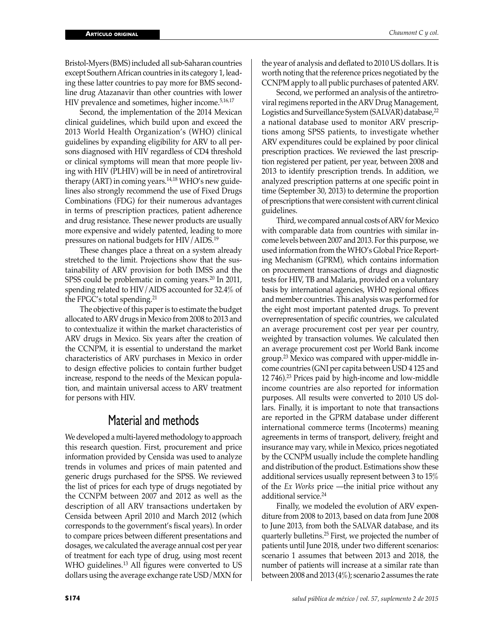Bristol-Myers (BMS) included all sub-Saharan countries except Southern African countries in its category 1, leading these latter countries to pay more for BMS secondline drug Atazanavir than other countries with lower HIV prevalence and sometimes, higher income.<sup>5,16,17</sup>

Second, the implementation of the 2014 Mexican clinical guidelines, which build upon and exceed the 2013 World Health Organization's (WHO) clinical guidelines by expanding eligibility for ARV to all persons diagnosed with HIV regardless of CD4 threshold or clinical symptoms will mean that more people living with HIV (PLHIV) will be in need of antiretroviral therapy (ART) in coming years.<sup>14,18</sup> WHO's new guidelines also strongly recommend the use of Fixed Drugs Combinations (FDG) for their numerous advantages in terms of prescription practices, patient adherence and drug resistance. These newer products are usually more expensive and widely patented, leading to more pressures on national budgets for HIV/AIDS.<sup>19</sup>

These changes place a threat on a system already stretched to the limit. Projections show that the sustainability of ARV provision for both IMSS and the SPSS could be problematic in coming years.<sup>20</sup> In 2011, spending related to HIV/AIDS accounted for 32.4% of the FPGC's total spending.<sup>21</sup>

The objective of this paper is to estimate the budget allocated to ARV drugs in Mexico from 2008 to 2013 and to contextualize it within the market characteristics of ARV drugs in Mexico. Six years after the creation of the CCNPM, it is essential to understand the market characteristics of ARV purchases in Mexico in order to design effective policies to contain further budget increase, respond to the needs of the Mexican population, and maintain universal access to ARV treatment for persons with HIV.

# Material and methods

We developed a multi-layered methodology to approach this research question. First, procurement and price information provided by Censida was used to analyze trends in volumes and prices of main patented and generic drugs purchased for the SPSS. We reviewed the list of prices for each type of drugs negotiated by the CCNPM between 2007 and 2012 as well as the description of all ARV transactions undertaken by Censida between April 2010 and March 2012 (which corresponds to the government's fiscal years). In order to compare prices between different presentations and dosages, we calculated the average annual cost per year of treatment for each type of drug, using most recent WHO guidelines.<sup>13</sup> All figures were converted to US dollars using the average exchange rate USD/MXN for

the year of analysis and deflated to 2010 US dollars. It is worth noting that the reference prices negotiated by the CCNPM apply to all public purchases of patented ARV.

Second, we performed an analysis of the antiretroviral regimens reported in the ARV Drug Management, Logistics and Surveillance System (SALVAR) database,  $^{22}$ a national database used to monitor ARV prescriptions among SPSS patients, to investigate whether ARV expenditures could be explained by poor clinical prescription practices. We reviewed the last prescription registered per patient, per year, between 2008 and 2013 to identify prescription trends. In addition, we analyzed prescription patterns at one specific point in time (September 30, 2013) to determine the proportion of prescriptions that were consistent with current clinical guidelines.

Third, we compared annual costs of ARV for Mexico with comparable data from countries with similar income levels between 2007 and 2013. For this purpose, we used information from the WHO's Global Price Reporting Mechanism (GPRM), which contains information on procurement transactions of drugs and diagnostic tests for HIV, TB and Malaria, provided on a voluntary basis by international agencies, WHO regional offices and member countries. This analysis was performed for the eight most important patented drugs. To prevent overrepresentation of specific countries, we calculated an average procurement cost per year per country, weighted by transaction volumes. We calculated then an average procurement cost per World Bank income group.<sup>23</sup> Mexico was compared with upper-middle income countries (GNI per capita between USD 4 125 and 12 746).<sup>23</sup> Prices paid by high-income and low-middle income countries are also reported for information purposes. All results were converted to 2010 US dollars. Finally, it is important to note that transactions are reported in the GPRM database under different international commerce terms (Incoterms) meaning agreements in terms of transport, delivery, freight and insurance may vary, while in Mexico, prices negotiated by the CCNPM usually include the complete handling and distribution of the product. Estimations show these additional services usually represent between 3 to 15% of the *Ex Works* price —the initial price without any additional service.<sup>24</sup>

Finally, we modeled the evolution of ARV expenditure from 2008 to 2013, based on data from June 2008 to June 2013, from both the SALVAR database, and its quarterly bulletins.25 First, we projected the number of patients until June 2018, under two different scenarios: scenario 1 assumes that between 2013 and 2018, the number of patients will increase at a similar rate than between 2008 and 2013 (4%); scenario 2 assumes the rate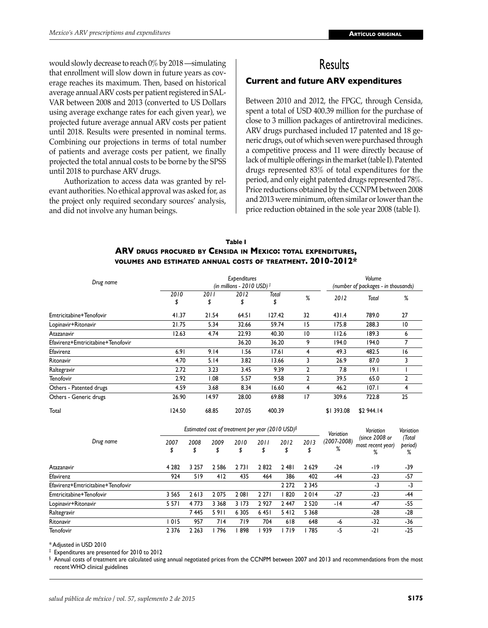would slowly decrease to reach 0% by 2018 —simulating that enrollment will slow down in future years as coverage reaches its maximum. Then, based on historical average annual ARV costs per patient registered in SAL-VAR between 2008 and 2013 (converted to US Dollars using average exchange rates for each given year), we projected future average annual ARV costs per patient until 2018. Results were presented in nominal terms. Combining our projections in terms of total number of patients and average costs per patient, we finally projected the total annual costs to be borne by the SPSS until 2018 to purchase ARV drugs.

Authorization to access data was granted by relevant authorities. No ethical approval was asked for, as the project only required secondary sources' analysis, and did not involve any human beings.

# **Results**

### **Current and future ARV expenditures**

Between 2010 and 2012, the FPGC, through Censida, spent a total of USD 400.39 million for the purchase of close to 3 million packages of antiretroviral medicines. ARV drugs purchased included 17 patented and 18 generic drugs, out of which seven were purchased through a competitive process and 11 were directly because of lack of multiple offerings in the market (table I). Patented drugs represented 83% of total expenditures for the period, and only eight patented drugs represented 78%. Price reductions obtained by the CCNPM between 2008 and 2013 were minimum, often similar or lower than the price reduction obtained in the sole year 2008 (table I).

#### **Table I ARV drugs procured by Censida in Mexico: total expenditures, volumes and estimated annual costs of treatment. 2010-2012\***

| Drug name                         |            |            | Expenditures<br>(in millions - 2010 USD) $\ddagger$ |             |    |            | Volume<br>(number of packages - in thousands) |                |
|-----------------------------------|------------|------------|-----------------------------------------------------|-------------|----|------------|-----------------------------------------------|----------------|
|                                   | 2010<br>\$ | 2011<br>\$ | 2012<br>\$                                          | Total<br>\$ | %  | 2012       | Total                                         | %              |
| Emtricitabine+Tenofovir           | 41.37      | 21.54      | 64.51                                               | 127.42      | 32 | 431.4      | 789.0                                         | 27             |
| Lopinavir+Ritonavir               | 21.75      | 5.34       | 32.66                                               | 59.74       | 15 | 175.8      | 288.3                                         | $\overline{0}$ |
| Atazanavir                        | 12.63      | 4.74       | 22.93                                               | 40.30       | 10 | 112.6      | 189.3                                         | 6              |
| Efavirenz+Emtricitabine+Tenofovir |            |            | 36.20                                               | 36.20       | 9  | 194.0      | 194.0                                         | $\overline{ }$ |
| Efavirenz                         | 6.91       | 9.14       | 1.56                                                | 17.61       | 4  | 49.3       | 482.5                                         | 16             |
| Ritonavir                         | 4.70       | 5.14       | 3.82                                                | 13.66       | 3  | 26.9       | 87.0                                          | 3              |
| Raltegravir                       | 2.72       | 3.23       | 3.45                                                | 9.39        | 2  | 7.8        | 9.1                                           |                |
| Tenofovir                         | 2.92       | 1.08       | 5.57                                                | 9.58        | 2  | 39.5       | 65.0                                          | 2              |
| Others - Patented drugs           | 4.59       | 3.68       | 8.34                                                | 16.60       | 4  | 46.2       | 107.1                                         | 4              |
| Others - Generic drugs            | 26.90      | 14.97      | 28.00                                               | 69.88       | 17 | 309.6      | 722.8                                         | 25             |
| Total                             | 124.50     | 68.85      | 207.05                                              | 400.39      |    | \$1 393.08 | \$2 944.14                                    |                |

|                                   |            |         |            |            |         | Estimated cost of treatment per year (2010 USD) $\frac{1}{2}$ |            | Variation        | Variation                                | Variation              |
|-----------------------------------|------------|---------|------------|------------|---------|---------------------------------------------------------------|------------|------------------|------------------------------------------|------------------------|
| Drug name                         | 2007<br>\$ | 2008    | 2009<br>\$ | 2010<br>\$ | 2011    | 2012<br>\$                                                    | 2013<br>\$ | (2007-2008)<br>℅ | (since 2008 or<br>most recent year)<br>% | (Total<br>period)<br>℅ |
| Atazanavir                        | 4 2 8 2    | 3 2 5 7 | 2 5 8 6    | 2731       | 2822    | 2 4 8 1                                                       | 2629       | -24              | -19                                      | -39                    |
| Efavirenz                         | 924        | 519     | 412        | 435        | 464     | 386                                                           | 402        | -44              | $-23$                                    | $-57$                  |
| Efavirenz+Emtricitabine+Tenofovir |            |         |            |            |         | 2 2 7 2                                                       | 2 3 4 5    |                  | -3                                       | $-3$                   |
| Emtricitabine+Tenofovir           | 3 5 6 5    | 2613    | 2075       | 2 081      | 2 2 7 1 | 820                                                           | 2014       | $-27$            | $-23$                                    | -44                    |
| Lopinavir+Ritonavir               | 5 5 7 1    | 4 7 7 3 | 3 3 6 8    | 3 1 7 3    | 2927    | 2447                                                          | 2 5 2 0    | $-14$            | $-47$                                    | -55                    |
| Raltegravir                       |            | 7445    | 5911       | 6 3 0 5    | 6451    | 5412                                                          | 5 3 6 8    |                  | $-28$                                    | $-28$                  |
| Ritonavir                         | l 015      | 957     | 714        | 719        | 704     | 618                                                           | 648        | -6               | $-32$                                    | -36                    |
| <b>Tenofovir</b>                  | 2 3 7 6    | 2 2 6 3 | 796        | 898        | 939     | l 719                                                         | 785        | -5               | $-21$                                    | $-25$                  |

\* Adjusted in USD 2010

‡ Expenditures are presented for 2010 to 2012

§ Annual costs of treatment are calculated using annual negotiated prices from the CCNPM between 2007 and 2013 and recommendations from the most recent WHO clinical guidelines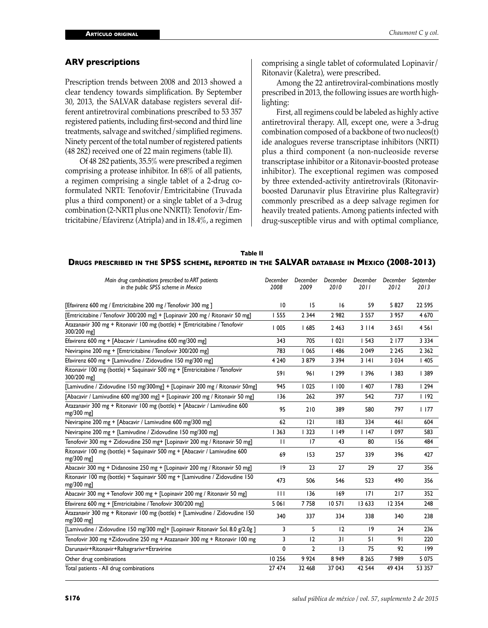#### **ARV prescriptions**

Prescription trends between 2008 and 2013 showed a clear tendency towards simplification. By September 30, 2013, the SALVAR database registers several different antiretroviral combinations prescribed to 53 357 registered patients, including first-second and third line treatments, salvage and switched/simplified regimens. Ninety percent of the total number of registered patients (48 282) received one of 22 main regimens (table II).

Of 48 282 patients, 35.5% were prescribed a regimen comprising a protease inhibitor. In 68% of all patients, a regimen comprising a single tablet of a 2-drug coformulated NRTI: Tenofovir/Emtricitabine (Truvada plus a third component) or a single tablet of a 3-drug combination (2-NRTI plus one NNRTI): Tenofovir/Emtricitabine/Efavirenz (Atripla) and in 18.4%, a regimen

comprising a single tablet of coformulated Lopinavir/ Ritonavir (Kaletra), were prescribed.

Among the 22 antiretroviral-combinations mostly prescribed in 2013, the following issues are worth highlighting:

First, all regimens could be labeled as highly active antiretroviral therapy. All, except one, were a 3-drug combination composed of a backbone of two nucleos(t) ide analogues reverse transcriptase inhibitors (NRTI) plus a third component (a non-nucleoside reverse transcriptase inhibitor or a Ritonavir-boosted protease inhibitor). The exceptional regimen was composed by three extended-activity antiretrovirals (Ritonavirboosted Darunavir plus Etravirine plus Raltegravir) commonly prescribed as a deep salvage regimen for heavily treated patients. Among patients infected with drug-susceptible virus and with optimal compliance,

| Table II                                                                                   |  |
|--------------------------------------------------------------------------------------------|--|
| Drugs prescribed in the SPSS scheme, reported in the SALVAR database in Mexico (2008-2013) |  |

| Main drug combinations prescribed to ART patients<br>in the public SPSS scheme in Mexico   | December<br>2008 | December<br>2009 | December<br>2010 | December<br>2011 | December<br>2012 | September<br>2013 |
|--------------------------------------------------------------------------------------------|------------------|------------------|------------------|------------------|------------------|-------------------|
| [Efavirenz 600 mg / Emtricitabine 200 mg / Tenofovir 300 mg ]                              | $\overline{10}$  | 15               | 16               | 59               | 5827             | 22 5 9 5          |
| [Emtricitabine / Tenofovir 300/200 mg] + [Lopinavir 200 mg / Ritonavir 50 mg]              | <b>1555</b>      | 2 3 4 4          | 2 9 8 2          | 3 5 5 7          | 3 9 5 7          | 4 6 7 0           |
| Atazanavir 300 mg + Ritonavir 100 mg (bottle) + [Emtricitabine / Tenofovir<br>300/200 mgl  | 1005             | 1685             | 2 4 6 3          | 3114             | 3651             | 4561              |
| Efavirenz 600 mg + [Abacavir / Lamivudine 600 mg/300 mg]                                   | 343              | 705              | 1021             | 1543             | 2 177            | 3 3 3 4           |
| Nevirapine 200 mg + [Emtricitabine / Tenofovir 300/200 mg]                                 | 783              | 1065             | 1486             | 2049             | 2 2 4 5          | 2 3 6 2           |
| Efavirenz 600 mg + [Lamivudine / Zidovudine 150 mg/300 mg]                                 | 4 2 4 0          | 3879             | 3 3 9 4          | 3141             | 3 0 3 4          | 1405              |
| Ritonavir 100 mg (bottle) + Saquinavir 500 mg + [Emtricitabine / Tenofovir<br>300/200 mg]  | 591              | 961              | 299              | 396              | 1383             | 389               |
| [Lamivudine / Zidovudine 150 mg/300mg] + [Lopinavir 200 mg / Ritonavir 50mg]               | 945              | 1025             | 1100             | 1407             | 1783             | 1294              |
| [Abacavir / Lamivudine 600 mg/300 mg] + [Lopinavir 200 mg / Ritonavir 50 mg]               | 136              | 262              | 397              | 542              | 737              | 1192              |
| Atazanavir 300 mg + Ritonavir 100 mg (bottle) + [Abacavir / Lamivudine 600<br>mg/300 mg]   | 95               | 210              | 389              | 580              | 797              | 1177              |
| Nevirapine 200 mg + [Abacavir / Lamivudine 600 mg/300 mg]                                  | 62               | 2                | 183              | 334              | 461              | 604               |
| Nevirapine 200 mg + [Lamivudine / Zidovudine 150 mg/300 mg]                                | 1363             | 1323             | 1149             | $ $ 147          | 097              | 583               |
| Tenofovir 300 mg + Zidovudine 250 mg + [Lopinavir 200 mg / Ritonavir 50 mg]                | $\mathbf{H}$     | 17               | 43               | 80               | 156              | 484               |
| Ritonavir 100 mg (bottle) + Saquinavir 500 mg + [Abacavir / Lamivudine 600<br>$mg/300$ mg  | 69               | 153              | 257              | 339              | 396              | 427               |
| Abacavir 300 mg + Didanosine 250 mg + [Lopinavir 200 mg / Ritonavir 50 mg]                 | 9                | 23               | 27               | 29               | 27               | 356               |
| Ritonavir 100 mg (bottle) + Saquinavir 500 mg + [Lamivudine / Zidovudine 150<br>mg/300 mg] | 473              | 506              | 546              | 523              | 490              | 356               |
| Abacavir 300 mg + Tenofovir 300 mg + [Lopinavir 200 mg / Ritonavir 50 mg]                  | $\mathbf{H}$     | 136              | 169              | 7                | 217              | 352               |
| Efavirenz 600 mg + [Emtricitabine / Tenofovir 300/200 mg]                                  | 5 0 6 1          | 7758             | 10 571           | 13 633           | 12 3 54          | 248               |
| Atazanavir 300 mg + Ritonavir 100 mg (bottle) + [Lamivudine / Zidovudine 150<br>mg/300 mg] | 340              | 337              | 334              | 338              | 340              | 238               |
| [Lamivudine / Zidovudine 150 mg/300 mg]+ [Lopinavir Ritonavir Sol. 8.0 g/2.0g]             | 3                | 5                | 12               | 19               | 24               | 236               |
| Tenofovir 300 mg +Zidovudine 250 mg + Atazanavir 300 mg + Ritonavir 100 mg                 | 3                | 12               | 31               | 51               | 91               | 220               |
| Darunavir+Ritonavir+Raltegrarivr+Etravirine                                                | $\Omega$         | $\mathbf{2}$     | 3                | 75               | 92               | 199               |
| Other drug combinations                                                                    | 10 25 6          | 9924             | 8949             | 8 2 6 5          | 7989             | 5 0 7 5           |
| Total patients - All drug combinations                                                     | 27 474           | 32 468           | 37 043           | 42 5 44          | 49 434           | 53 357            |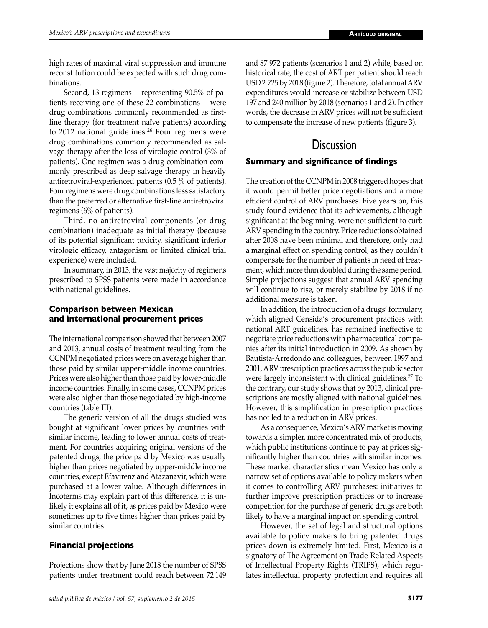high rates of maximal viral suppression and immune reconstitution could be expected with such drug combinations.

Second, 13 regimens —representing 90.5% of patients receiving one of these 22 combinations— were drug combinations commonly recommended as firstline therapy (for treatment naïve patients) according to 2012 national guidelines.<sup>26</sup> Four regimens were drug combinations commonly recommended as salvage therapy after the loss of virologic control (3% of patients). One regimen was a drug combination commonly prescribed as deep salvage therapy in heavily antiretroviral-experienced patients (0.5 % of patients). Four regimens were drug combinations less satisfactory than the preferred or alternative first-line antiretroviral regimens (6% of patients).

Third, no antiretroviral components (or drug combination) inadequate as initial therapy (because of its potential significant toxicity, significant inferior virologic efficacy, antagonism or limited clinical trial experience) were included.

In summary, in 2013, the vast majority of regimens prescribed to SPSS patients were made in accordance with national guidelines.

# **Comparison between Mexican and international procurement prices**

The international comparison showed that between 2007 and 2013, annual costs of treatment resulting from the CCNPM negotiated prices were on average higher than those paid by similar upper-middle income countries. Prices were also higher than those paid by lower-middle income countries. Finally, in some cases, CCNPM prices were also higher than those negotiated by high-income countries (table III).

The generic version of all the drugs studied was bought at significant lower prices by countries with similar income, leading to lower annual costs of treatment. For countries acquiring original versions of the patented drugs, the price paid by Mexico was usually higher than prices negotiated by upper-middle income countries, except Efavirenz and Atazanavir, which were purchased at a lower value. Although differences in Incoterms may explain part of this difference, it is unlikely it explains all of it, as prices paid by Mexico were sometimes up to five times higher than prices paid by similar countries.

# **Financial projections**

Projections show that by June 2018 the number of SPSS patients under treatment could reach between 72 149 and 87 972 patients (scenarios 1 and 2) while, based on historical rate, the cost of ART per patient should reach USD 2 725 by 2018 (figure 2). Therefore, total annual ARV expenditures would increase or stabilize between USD 197 and 240 million by 2018 (scenarios 1 and 2). In other words, the decrease in ARV prices will not be sufficient to compensate the increase of new patients (figure 3).

# **Discussion**

# **Summary and significance of findings**

The creation of the CCNPM in 2008 triggered hopes that it would permit better price negotiations and a more efficient control of ARV purchases. Five years on, this study found evidence that its achievements, although significant at the beginning, were not sufficient to curb ARV spending in the country. Price reductions obtained after 2008 have been minimal and therefore, only had a marginal effect on spending control, as they couldn't compensate for the number of patients in need of treatment, which more than doubled during the same period. Simple projections suggest that annual ARV spending will continue to rise, or merely stabilize by 2018 if no additional measure is taken.

In addition, the introduction of a drugs' formulary, which aligned Censida's procurement practices with national ART guidelines, has remained ineffective to negotiate price reductions with pharmaceutical companies after its initial introduction in 2009. As shown by Bautista-Arredondo and colleagues, between 1997 and 2001, ARV prescription practices across the public sector were largely inconsistent with clinical guidelines.<sup>27</sup> To the contrary, our study shows that by 2013, clinical prescriptions are mostly aligned with national guidelines. However, this simplification in prescription practices has not led to a reduction in ARV prices.

As a consequence, Mexico's ARV market is moving towards a simpler, more concentrated mix of products, which public institutions continue to pay at prices significantly higher than countries with similar incomes. These market characteristics mean Mexico has only a narrow set of options available to policy makers when it comes to controlling ARV purchases: initiatives to further improve prescription practices or to increase competition for the purchase of generic drugs are both likely to have a marginal impact on spending control.

However, the set of legal and structural options available to policy makers to bring patented drugs prices down is extremely limited. First, Mexico is a signatory of The Agreement on Trade-Related Aspects of Intellectual Property Rights (TRIPS), which regulates intellectual property protection and requires all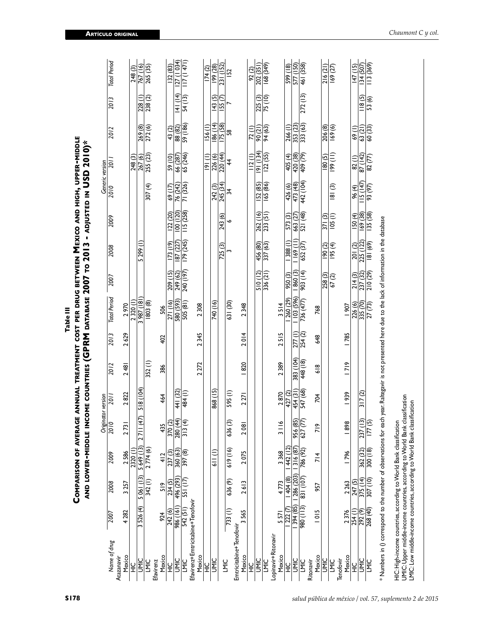|                                                                                                                                                          |                         |             |            |                                                |                  |               |                             | Comparison of average annual treatment cost per drug between Mexico and High, upper-middle<br>and lower-middle income countries (GPRM database 2007 to 2013 - adjusted in USD 2010)* |           |                      |                           |                     |                          |                         |                         |                     |
|----------------------------------------------------------------------------------------------------------------------------------------------------------|-------------------------|-------------|------------|------------------------------------------------|------------------|---------------|-----------------------------|--------------------------------------------------------------------------------------------------------------------------------------------------------------------------------------|-----------|----------------------|---------------------------|---------------------|--------------------------|-------------------------|-------------------------|---------------------|
|                                                                                                                                                          |                         |             |            | Originator version                             |                  |               |                             |                                                                                                                                                                                      |           |                      |                           | Generic version     |                          |                         |                         |                     |
| Name of drug<br>Atazanavir                                                                                                                               | 2007                    | 2008        | 2009       | $\overline{201}$                               | 2011             | 2012          | 2013                        | Total Period                                                                                                                                                                         | 2007      | 2008                 | 2009                      | 2010                | $\frac{1}{20}$           | 2012                    | 2013                    | <b>Total Period</b> |
| Mexico                                                                                                                                                   | 4 282                   | 3257        | 2586       | 2731                                           | 2822             | 2481          | 2629                        | 2970                                                                                                                                                                                 |           |                      |                           |                     |                          |                         |                         |                     |
| $\frac{0}{1}$                                                                                                                                            |                         |             | 2320 (     |                                                |                  |               |                             | 2320(1)                                                                                                                                                                              |           |                      |                           |                     | 248 (3)                  |                         |                         | 248 (3)             |
| UMIC                                                                                                                                                     | 526 (4)<br>$\sim$       | 5 06 1 (13) | 5 649 (13) | (47)<br>$\overline{1}$<br>$\mathbf{\tilde{c}}$ | <b>NO1) 815</b>  |               |                             | 181) 286 2                                                                                                                                                                           |           | 5 299 (1)            |                           |                     | $\frac{267(6)}{255(23)}$ | $\frac{269(8)}{272(6)}$ | $\frac{228(1)}{238(2)}$ | 767 (16)            |
| <b>LMIC</b>                                                                                                                                              |                         | 342(1)      | 2 774 (6)  |                                                |                  | 352(l)        |                             | 803(8)                                                                                                                                                                               |           |                      |                           | 307(4)              |                          |                         |                         | 265 (35)            |
| Mexico<br>Efavirenz                                                                                                                                      | 924                     | 519         | 412        | 435                                            | 464              | 386           | 402                         | 506                                                                                                                                                                                  |           |                      |                           |                     |                          |                         |                         |                     |
| )<br>도                                                                                                                                                   | 242 (6)                 | 234 (5)     | 237(3)     |                                                |                  |               |                             | 271 (16)                                                                                                                                                                             | 209 (15)  | (173(19)             | 122 (20)                  | 69 (17)             | 59 (10)                  | 43(2)                   |                         | 132 (83)            |
| <b>UMIC</b>                                                                                                                                              | 191) 986                | 496 (293)   | 360 (63)   | $\frac{370(2)}{280(44)}$                       | 441 (32)         |               |                             | 580 (593)                                                                                                                                                                            | 249 (62)  | $\sqrt{87}$ (27)     | $\frac{100}{(120)}$       | 76 (242)            | 66 (287)                 | 88 (82)                 | 4  ( 4)                 | 27 (1 034)          |
| LMIC                                                                                                                                                     | 542(51)                 | 551 (17)    | 397(8)     | (∓<br>$\frac{3}{3}$                            | 484(1)           |               |                             | 505(81)                                                                                                                                                                              | 240 (197) | $\frac{179}{245}$    | $\overline{115}$ (258)    | 71 (326)            | 65(246)                  | 59 (186)                | 54(13)                  | 117(147)            |
| Efavirenz+Emtricitabine+Tenofovir                                                                                                                        |                         |             |            |                                                |                  |               |                             |                                                                                                                                                                                      |           |                      |                           |                     |                          |                         |                         |                     |
| Mexico                                                                                                                                                   |                         |             |            |                                                |                  | 2272          | 2345                        | 2308                                                                                                                                                                                 |           |                      |                           |                     |                          |                         |                         |                     |
| )<br>도                                                                                                                                                   |                         |             |            |                                                |                  |               |                             |                                                                                                                                                                                      |           |                      |                           |                     | (1)                      | I56 (I)                 |                         | 174(2)              |
| UMIC                                                                                                                                                     |                         |             | (i) 119    |                                                | 868 (15)         |               |                             | 740 (16)                                                                                                                                                                             |           |                      |                           | 242 (3)             | 226 (6)                  | 186 (14)                | 143(5)                  | (87) 661            |
| LMIC                                                                                                                                                     |                         |             |            |                                                |                  |               |                             |                                                                                                                                                                                      |           | 725 (3)              | 243 (6)                   | 245 (34)            | 220(44)                  | 175(58)                 | I55 <sub>(7)</sub>      | 231(152)            |
|                                                                                                                                                          | 733(1)                  | 636 (9)     | 619 (16)   | ര<br>636                                       | 595(l)           |               |                             | 631 (30)                                                                                                                                                                             |           |                      | ۰                         | 54                  | 4                        | 58                      |                         | 152                 |
| Emtricitabine+Tenofovir                                                                                                                                  | 3565                    | 2613        | 2075       | 2081                                           | 2271             | 1820          | 2014                        | 2348                                                                                                                                                                                 |           |                      |                           |                     |                          |                         |                         |                     |
| Mexico                                                                                                                                                   |                         |             |            |                                                |                  |               |                             |                                                                                                                                                                                      |           |                      |                           |                     |                          |                         |                         |                     |
| $\frac{Q}{T}$                                                                                                                                            |                         |             |            |                                                |                  |               |                             |                                                                                                                                                                                      |           |                      |                           |                     | 112(1)                   | 72(1)                   |                         | 92(2)               |
| UMIC                                                                                                                                                     |                         |             |            |                                                |                  |               |                             |                                                                                                                                                                                      | 510(12)   | 456 (80)<br>337 (63) | $\frac{262(16)}{233(51)}$ | IS2 <sub>(85)</sub> | 9  (134)                 | 90(21)                  | $\frac{225(3)}{75(10)}$ | 202 (351)           |
| Lopinavir+Ritonavir<br><b>LMIC</b>                                                                                                                       |                         |             |            |                                                |                  |               |                             |                                                                                                                                                                                      | 336(21)   |                      |                           | 165 (86)            | $\overline{122}$ (55)    | 94 (63)                 |                         | $\frac{168(349)}{}$ |
| Mexico                                                                                                                                                   | 5571                    | 4773        | 3368       | o<br>$\bar{5}$                                 | 2870             | 2389          | 515<br>$\mathbf{\tilde{c}}$ | 3514                                                                                                                                                                                 |           |                      |                           |                     |                          |                         |                         |                     |
| $\frac{1}{2}$                                                                                                                                            | 1222(7)                 | 1404(8)     | 442 (12)   |                                                | 427(2)           |               |                             | 260 (29)                                                                                                                                                                             | 950 (3)   | $\sqrt{1388(1)}$     | 573 (3)                   | 426 (6)             | 405(4)                   | 266(1)                  |                         | (81) 665            |
| <b>UMIC</b>                                                                                                                                              | 394 (85)                | 286 (203)   | 316 (87)   | 956 (85)                                       | 454 (31)         | 383 (104)     | 277 (l)                     | 103 (596)                                                                                                                                                                            | 1860(3)   | 169(11)              | 663 (27)                  | 473 (48)            | 420 (38)                 | 353 (23)                |                         | 577 (150)           |
| <b>NIC</b>                                                                                                                                               | $(511)$ 086             | 831 (107)   | 786 (92)   | $\overline{2}$<br>627(                         | $\frac{547}{68}$ | 448 (18)      | 254(2)                      | 736 (477)                                                                                                                                                                            | 903 (14)  | 652 (37)             | $\frac{521(48)}{2}$       | 442 (104)           | 409 (79)                 | 333 (63)                | 272(13)                 | 461 (358)           |
| Mexico<br>Ritonavir                                                                                                                                      | <b>1015</b>             | 957         | 714        | $\frac{8}{7}$                                  | 704              | $\frac{8}{6}$ | \$48                        | 768                                                                                                                                                                                  |           |                      |                           |                     |                          |                         |                         |                     |
| UMIC                                                                                                                                                     |                         |             |            |                                                |                  |               |                             |                                                                                                                                                                                      | 258(3)    | (5000)               | 371(3)                    |                     | 180(5)                   | 206 (8)                 |                         | 216(21)             |
| <b>LMIC</b>                                                                                                                                              |                         |             |            |                                                |                  |               |                             |                                                                                                                                                                                      | 67(2)     | $(+)$ 56             | 105(1)                    | 81(3)               | $(11)$ 661               | 169(6)                  |                         | 169 (27)            |
| Tenofovir                                                                                                                                                |                         |             |            |                                                |                  |               |                             |                                                                                                                                                                                      |           |                      |                           |                     |                          |                         |                         |                     |
| Mexico                                                                                                                                                   | 2376                    | 2263        | 1796       | 1898                                           | 1939             | 7 9           | <b>1785</b>                 | 1907                                                                                                                                                                                 |           |                      |                           |                     |                          |                         |                         |                     |
| )<br>도                                                                                                                                                   | $\frac{254(1)}{292(9)}$ | 247(5)      |            |                                                |                  |               |                             | 226 (6)                                                                                                                                                                              | 214(3)    | 201 (2)              | $\overline{150}$ (4)      | 96(4)               | 82(l)                    | 69(1)                   |                         | 147(15)             |
| UMIC                                                                                                                                                     |                         | 375 (14)    | 362 (32)   | 237                                            | 317(2)           |               |                             | 335 (70)                                                                                                                                                                             | 237 (32)  | 225 (122)            | 169 (38)                  | 15(147)             | 87 (142)                 | 63 (21)                 | 118(5)                  | 134 (507)           |
| <b>LMIC</b>                                                                                                                                              | $\frac{268}{40}$        | 307 (10)    | 300 (18)   | മിള<br>$\overline{7}$                          |                  |               |                             | 27 (73)                                                                                                                                                                              | 210 (29)  | (69) 181             | 135(58)                   | 93 (97)             | 82 (77)                  | 60 (33)                 | 53 (6)                  | 3 (369)             |
| * Numbers in () correspond to the number of observations for each year. Raltegavir is not presented here due to the lack of information in the database  |                         |             |            |                                                |                  |               |                             |                                                                                                                                                                                      |           |                      |                           |                     |                          |                         |                         |                     |
| HIC: High-income countries, according to World Bank classification                                                                                       |                         |             |            |                                                |                  |               |                             |                                                                                                                                                                                      |           |                      |                           |                     |                          |                         |                         |                     |
| UMIC: Upper middle-income countries, according to World Bank classification<br>LMIC: Low middle-income countries, according to World Bank classification |                         |             |            |                                                |                  |               |                             |                                                                                                                                                                                      |           |                      |                           |                     |                          |                         |                         |                     |
|                                                                                                                                                          |                         |             |            |                                                |                  |               |                             |                                                                                                                                                                                      |           |                      |                           |                     |                          |                         |                         |                     |

**Artículo origin l a**

**Table III**

Table III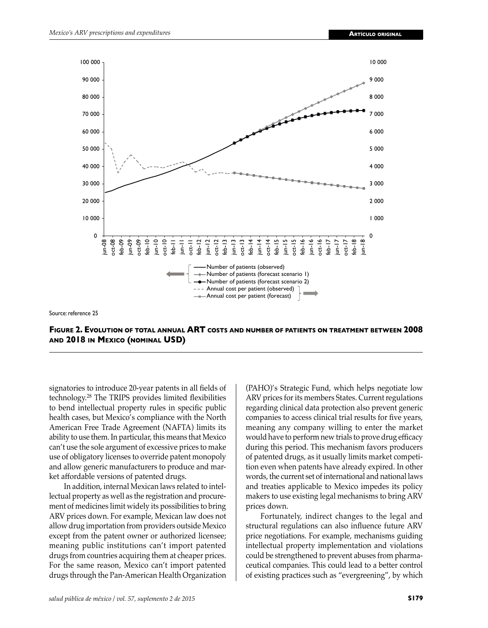

Source: reference 25

**Figure 2. Evolution of total annual ART costs and number of patients on treatment between 2008 and 2018 in Mexico (nominal USD)**

signatories to introduce 20-year patents in all fields of technology.<sup>28</sup> The TRIPS provides limited flexibilities to bend intellectual property rules in specific public health cases, but Mexico's compliance with the North American Free Trade Agreement (NAFTA) limits its ability to use them. In particular, this means that Mexico can't use the sole argument of excessive prices to make use of obligatory licenses to override patent monopoly and allow generic manufacturers to produce and market affordable versions of patented drugs.

In addition, internal Mexican laws related to intellectual property as well as the registration and procurement of medicines limit widely its possibilities to bring ARV prices down. For example, Mexican law does not allow drug importation from providers outside Mexico except from the patent owner or authorized licensee; meaning public institutions can't import patented drugs from countries acquiring them at cheaper prices. For the same reason, Mexico can't import patented drugs through the Pan-American Health Organization

(PAHO)'s Strategic Fund, which helps negotiate low ARV prices for its members States. Current regulations regarding clinical data protection also prevent generic companies to access clinical trial results for five years, meaning any company willing to enter the market would have to perform new trials to prove drug efficacy during this period. This mechanism favors producers of patented drugs, as it usually limits market competition even when patents have already expired. In other words, the current set of international and national laws and treaties applicable to Mexico impedes its policy makers to use existing legal mechanisms to bring ARV prices down.

Fortunately, indirect changes to the legal and structural regulations can also influence future ARV price negotiations. For example, mechanisms guiding intellectual property implementation and violations could be strengthened to prevent abuses from pharmaceutical companies. This could lead to a better control of existing practices such as "evergreening", by which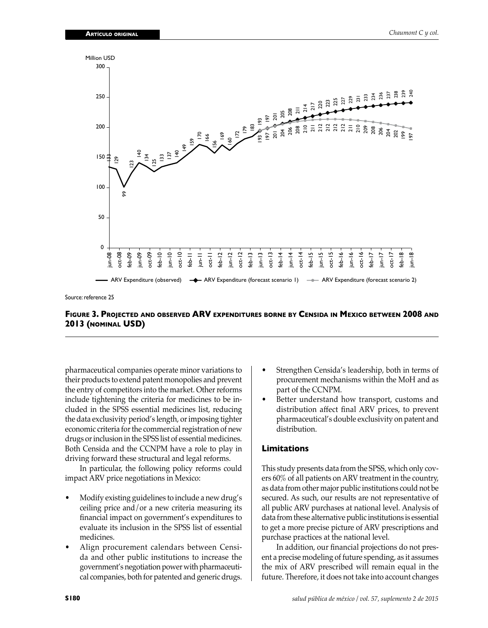

Source: reference 25

## **Figure 3. Projected and observed ARV expenditures borne by Censida in Mexico between 2008 and 2013 (nominal USD)**

pharmaceutical companies operate minor variations to their products to extend patent monopolies and prevent the entry of competitors into the market. Other reforms include tightening the criteria for medicines to be included in the SPSS essential medicines list, reducing the data exclusivity period's length, or imposing tighter economic criteria for the commercial registration of new drugs or inclusion in the SPSS list of essential medicines. Both Censida and the CCNPM have a role to play in driving forward these structural and legal reforms.

In particular, the following policy reforms could impact ARV price negotiations in Mexico:

- Modify existing guidelines to include a new drug's ceiling price and/or a new criteria measuring its financial impact on government's expenditures to evaluate its inclusion in the SPSS list of essential medicines.
- Align procurement calendars between Censida and other public institutions to increase the government's negotiation power with pharmaceutical companies, both for patented and generic drugs.
- Strengthen Censida's leadership, both in terms of procurement mechanisms within the MoH and as part of the CCNPM.
- Better understand how transport, customs and distribution affect final ARV prices, to prevent pharmaceutical's double exclusivity on patent and distribution.

#### **Limitations**

This study presents data from the SPSS, which only covers 60% of all patients on ARV treatment in the country, as data from other major public institutions could not be secured. As such, our results are not representative of all public ARV purchases at national level. Analysis of data from these alternative public institutions is essential to get a more precise picture of ARV prescriptions and purchase practices at the national level.

In addition, our financial projections do not present a precise modeling of future spending, as it assumes the mix of ARV prescribed will remain equal in the future. Therefore, it does not take into account changes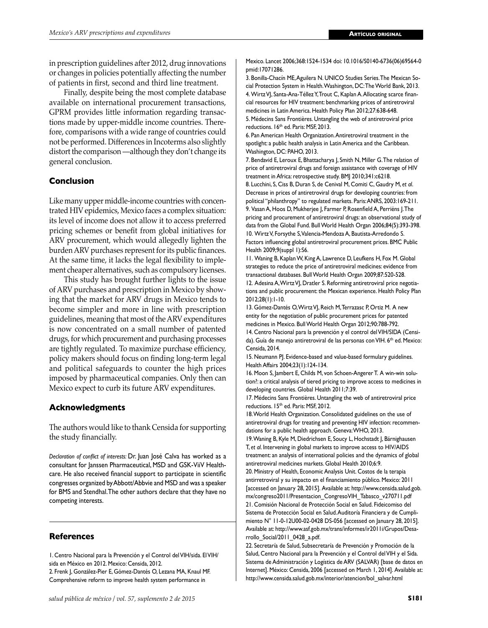in prescription guidelines after 2012, drug innovations or changes in policies potentially affecting the number of patients in first, second and third line treatment.

Finally, despite being the most complete database available on international procurement transactions, GPRM provides little information regarding transactions made by upper-middle income countries. Therefore, comparisons with a wide range of countries could not be performed. Differences in Incoterms also slightly distort the comparison —although they don't change its general conclusion.

# **Conclusion**

Like many upper middle-income countries with concentrated HIV epidemics, Mexico faces a complex situation: its level of income does not allow it to access preferred pricing schemes or benefit from global initiatives for ARV procurement, which would allegedly lighten the burden ARV purchases represent for its public finances. At the same time, it lacks the legal flexibility to implement cheaper alternatives, such as compulsory licenses.

This study has brought further lights to the issue of ARV purchases and prescription in Mexico by showing that the market for ARV drugs in Mexico tends to become simpler and more in line with prescription guidelines, meaning that most of the ARV expenditures is now concentrated on a small number of patented drugs, for which procurement and purchasing processes are tightly regulated. To maximize purchase efficiency, policy makers should focus on finding long-term legal and political safeguards to counter the high prices imposed by pharmaceutical companies. Only then can Mexico expect to curb its future ARV expenditures.

# **Acknowledgments**

The authors would like to thank Censida for supporting the study financially.

*Declaration of conflict of interests:* Dr. Juan José Calva has worked as a consultant for Janssen Pharmaceutical, MSD and GSK-ViiV Healthcare. He also received financial support to participate in scientific congresses organized by Abbott/Abbvie and MSD and was a speaker for BMS and Stendhal. The other authors declare that they have no competing interests.

# **References**

1. Centro Nacional para la Prevención y el Control del VIH/sida. El VIH/ sida en México en 2012. Mexico: Censida, 2012. 2. Frenk J, González-Pier E, Gómez-Dantés O, Lezana MA, Knaul MF. Comprehensive reform to improve health system performance in

Mexico. Lancet 2006;368:1524-1534 doi: 10.1016/S0140-6736(06)69564-0 pmid:17071286.

3. Bonilla-Chacín ME, Aguilera N. UNICO Studies Series. The Mexican Social Protection System in Health. Washington, DC: The World Bank, 2013. 4. Wirtz VJ, Santa-Ana-Téllez Y, Trout C, Kaplan A. Allocating scarce financial resources for HIV treatment: benchmarking prices of antiretroviral medicines in Latin America. Health Policy Plan 2012;27:638-648. 5. Médecins Sans Frontières. Untangling the web of antiretroviral price

reductions. 16<sup>th</sup> ed. Paris: MSF, 2013.

6. Pan American Health Organization. Antiretroviral treatment in the spotlight: a public health analysis in Latin America and the Caribbean. Washington, DC: PAHO, 2013.

7. Bendavid E, Leroux E, Bhattacharya J, Smith N, Miller G. The relation of price of antiretroviral drugs and foreign assistance with coverage of HIV treatment in Africa: retrospective study. BMJ 2010;341:c6218.

8. Lucchini, S, Ciss B, Duran S, de Cenival M, Comiti C, Gaudry M, *et al*. Decrease in prices of antiretroviral drugs for developing countries: from political "philanthropy" to regulated markets. Paris: ANRS, 2003:169-211. 9. Vasan A, Hoos D, Mukherjee J, Farmer P, Rosenfield A, Perriëns J. The pricing and procurement of antiretroviral drugs: an observational study of data from the Global Fund. Bull World Health Organ 2006;84(5):393-398. 10. Wirtz V, Forsythe S, Valencia-Mendoza A, Bautista-Arredondo S. Factors influencing global antiretroviral procurement prices. BMC Public Health 2009;9(suppl 1):S6.

11. Waning B, Kaplan W, King A, Lawrence D, Leufkens H, Fox M. Global strategies to reduce the price of antiretroviral medicines: evidence from transactional databases. Bull World Health Organ 2009;87:520-528.

12. Adesina A, Wirtz VJ, Dratler S. Reforming antiretroviral price negotiations and public procurement: the Mexican experience. Health Policy Plan 2012;28(1):1-10.

13. Gómez-Dantés O, Wirtz VJ, Reich M, Terrazasc P, Ortiz M. A new entity for the negotiation of public procurement prices for patented medicines in Mexico. Bull World Health Organ 2012;90:788-792.

14. Centro Nacional para la prevención y el control del VIH/SIDA (Censida). Guía de manejo antiretroviral de las personas con VIH. 6<sup>th</sup> ed. Mexico: Censida, 2014.

15. Neumann PJ. Evidence-based and value-based formulary guidelines. Health Affairs 2004;23(1):124-134.

16. Moon S, Jambert E, Childs M, von Schoen-Angerer T. A win-win solution?: a critical analysis of tiered pricing to improve access to medicines in developing countries. Global Health 2011;7:39.

17. Médecins Sans Frontières. Untangling the web of antiretroviral price reductions. 15<sup>th</sup> ed. Paris: MSF, 2012.

18. World Health Organization. Consolidated guidelines on the use of antiretroviral drugs for treating and preventing HIV infection: recommendations for a public health approach. Geneva: WHO, 2013.

19. Waning B, Kyle M, Diedrichsen E, Soucy L, Hochstadt J, Bärnighausen T, *et al*. Intervening in global markets to improve access to HIV/AIDS treatment: an analysis of international policies and the dynamics of global antiretroviral medicines markets. Global Health 2010;6:9.

20. Ministry of Health, Economic Analysis Unit. Costos de la terapia antirretroviral y su impacto en el financiamiento público. Mexico: 2011 [accessed on January 28, 2015]. Available at: http://www.censida.salud.gob. mx/congreso2011/Presentacion\_CongresoVIH\_Tabasco\_v270711.pdf 21. Comisión Nacional de Protección Social en Salud. Fideicomiso del Sistema de Protección Social en Salud. Auditoría Financiera y de Cumplimiento N° 11-0-12U00-02-0428 DS-056 [accessed on January 28, 2015]. Available at: http://www.asf.gob.mx/trans/informes/ir2011i/Grupos/Desarrollo\_Social/2011\_0428\_a.pdf.

22. Secretaría de Salud, Subsecretaría de Prevención y Promoción de la Salud, Centro Nacional para la Prevención y el Control del VIH y el Sida. Sistema de Administración y Logística de ARV (SALVAR) [base de datos en Internet]. México: Censida, 2006 [accessed on March 1, 2014]. Available at: http://www.censida.salud.gob.mx/interior/atencion/bol\_salvar.html